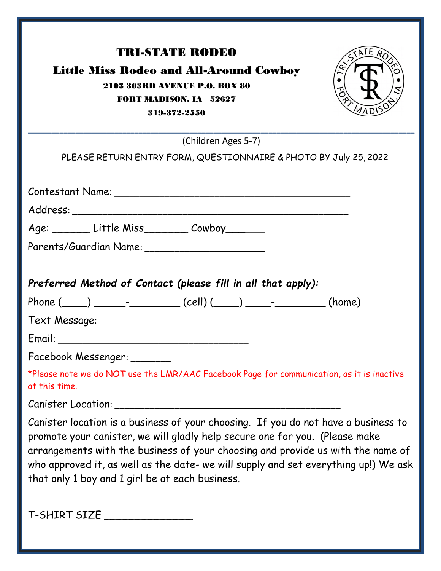| <b>TRI-STATE RODEO</b><br>TATE ROS<br><b>Little Miss Rodeo and All-Around Cowboy</b><br>2103 303RD AVENUE P.O. BOX 80<br><b>FORT MADISON, IA 52627</b><br>319-372-2550                                                                                                                                                                                                                         |
|------------------------------------------------------------------------------------------------------------------------------------------------------------------------------------------------------------------------------------------------------------------------------------------------------------------------------------------------------------------------------------------------|
| (Children Ages 5-7)                                                                                                                                                                                                                                                                                                                                                                            |
| PLEASE RETURN ENTRY FORM, QUESTIONNAIRE & PHOTO BY July 25, 2022                                                                                                                                                                                                                                                                                                                               |
|                                                                                                                                                                                                                                                                                                                                                                                                |
| Age: _________ Little Miss__________ Cowboy________                                                                                                                                                                                                                                                                                                                                            |
| Parents/Guardian Name: Names                                                                                                                                                                                                                                                                                                                                                                   |
| Preferred Method of Contact (please fill in all that apply):<br>Phone $(\_\_)$ __________________(cell) $(\_\_)$ ________________(home)<br>Text Message: _______                                                                                                                                                                                                                               |
| Facebook Messenger: ______<br>*Please note we do NOT use the LMR/AAC Facebook Page for communication, as it is inactive<br>at this time.                                                                                                                                                                                                                                                       |
|                                                                                                                                                                                                                                                                                                                                                                                                |
| Canister location is a business of your choosing. If you do not have a business to<br>promote your canister, we will gladly help secure one for you. (Please make<br>arrangements with the business of your choosing and provide us with the name of<br>who approved it, as well as the date- we will supply and set everything up!) We ask<br>that only 1 boy and 1 girl be at each business. |
| T-SHIRT SIZE                                                                                                                                                                                                                                                                                                                                                                                   |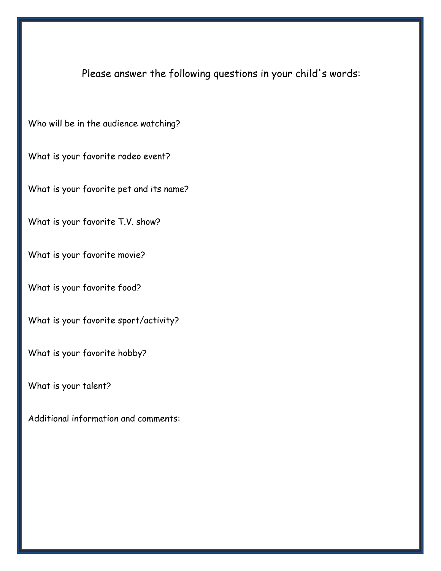Please answer the following questions in your child's words:

Who will be in the audience watching?

What is your favorite rodeo event?

What is your favorite pet and its name?

What is your favorite T.V. show?

What is your favorite movie?

What is your favorite food?

What is your favorite sport/activity?

What is your favorite hobby?

What is your talent?

Additional information and comments: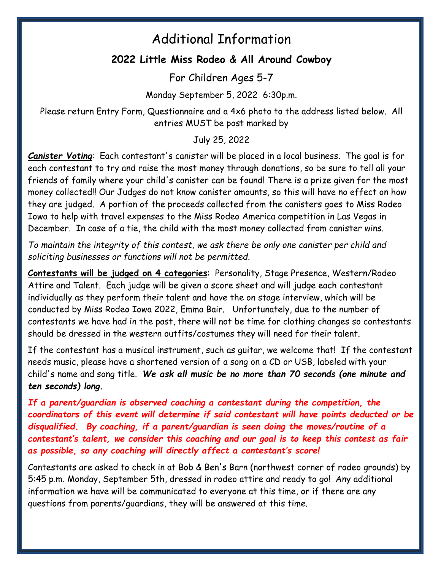## Additional Information

## **2022 Little Miss Rodeo & All Around Cowboy**

For Children Ages 5-7

Monday September 5, 2022 6:30p.m.

Please return Entry Form, Questionnaire and a 4x6 photo to the address listed below. All entries MUST be post marked by

July 25, 2022

*Canister Voting*: Each contestant's canister will be placed in a local business. The goal is for each contestant to try and raise the most money through donations, so be sure to tell all your friends of family where your child's canister can be found! There is a prize given for the most money collected!! Our Judges do not know canister amounts, so this will have no effect on how they are judged. A portion of the proceeds collected from the canisters goes to Miss Rodeo Iowa to help with travel expenses to the Miss Rodeo America competition in Las Vegas in December. In case of a tie, the child with the most money collected from canister wins.

*To maintain the integrity of this contest, we ask there be only one canister per child and soliciting businesses or functions will not be permitted.* 

**Contestants will be judged on 4 categories**: Personality, Stage Presence, Western/Rodeo Attire and Talent. Each judge will be given a score sheet and will judge each contestant individually as they perform their talent and have the on stage interview, which will be conducted by Miss Rodeo Iowa 2022, Emma Bair. Unfortunately, due to the number of contestants we have had in the past, there will not be time for clothing changes so contestants should be dressed in the western outfits/costumes they will need for their talent.

If the contestant has a musical instrument, such as guitar, we welcome that! If the contestant needs music, please have a shortened version of a song on a CD or USB, labeled with your child's name and song title. *We ask all music be no more than 70 seconds (one minute and ten seconds) long.* 

*If a parent/guardian is observed coaching a contestant during the competition, the coordinators of this event will determine if said contestant will have points deducted or be disqualified. By coaching, if a parent/guardian is seen doing the moves/routine of a contestant's talent, we consider this coaching and our goal is to keep this contest as fair as possible, so any coaching will directly affect a contestant's score!* 

Contestants are asked to check in at Bob & Ben's Barn (northwest corner of rodeo grounds) by 5:45 p.m. Monday, September 5th, dressed in rodeo attire and ready to go! Any additional information we have will be communicated to everyone at this time, or if there are any questions from parents/guardians, they will be answered at this time.